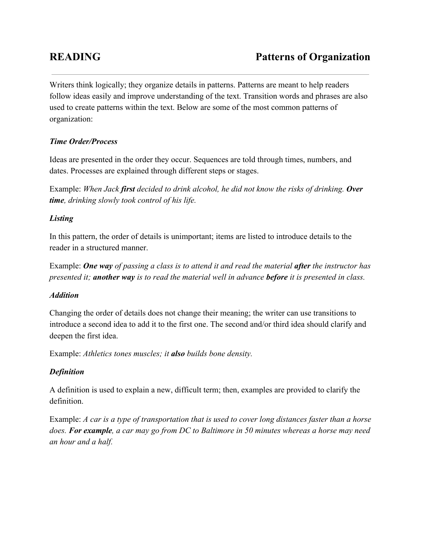Writers think logically; they organize details in patterns. Patterns are meant to help readers follow ideas easily and improve understanding of the text. Transition words and phrases are also used to create patterns within the text. Below are some of the most common patterns of organization:

# *Time Order/Process*

Ideas are presented in the order they occur. Sequences are told through times, numbers, and dates. Processes are explained through different steps or stages.

Example: *When Jack first decided to drink alcohol, he did not know the risks of drinking. Over time, drinking slowly took control of his life.*

# *Listing*

In this pattern, the order of details is unimportant; items are listed to introduce details to the reader in a structured manner.

Example: *One wayof passing a class is to attend it and read the material after the instructor has presented it; another wayis to read the material well in advance beforeit is presented in class.*

## *Addition*

Changing the order of details does not change their meaning; the writer can use transitions to introduce a second idea to add it to the first one. The second and/or third idea should clarify and deepen the first idea.

Example: *Athletics tones muscles; it alsobuilds bone density.*

# *Definition*

A definition is used to explain a new, difficult term; then, examples are provided to clarify the definition.

Example: A car is a type of transportation that is used to cover long distances faster than a horse does. For example, a car may go from DC to Baltimore in 50 minutes whereas a horse may need *an hour and a half.*